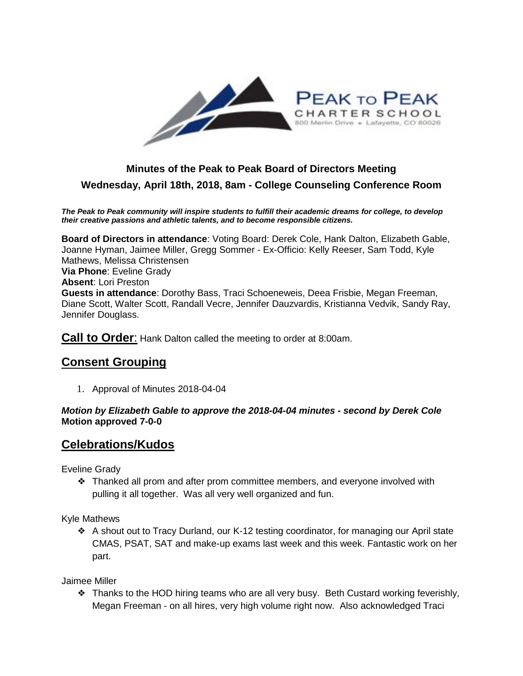

## **Minutes of the Peak to Peak Board of Directors Meeting Wednesday, April 18th, 2018, 8am - College Counseling Conference Room**

*The Peak to Peak community will inspire students to fulfill their academic dreams for college, to develop their creative passions and athletic talents, and to become responsible citizens.*

**Board of Directors in attendance**: Voting Board: Derek Cole, Hank Dalton, Elizabeth Gable, Joanne Hyman, Jaimee Miller, Gregg Sommer - Ex-Officio: Kelly Reeser, Sam Todd, Kyle Mathews, Melissa Christensen **Via Phone**: Eveline Grady **Absent**: Lori Preston **Guests in attendance**: Dorothy Bass, Traci Schoeneweis, Deea Frisbie, Megan Freeman, Diane Scott, Walter Scott, Randall Vecre, Jennifer Dauzvardis, Kristianna Vedvik, Sandy Ray, Jennifer Douglass.

**Call to Order**: Hank Dalton called the meeting to order at 8:00am.

## **Consent Grouping**

1. Approval of Minutes 2018-04-04

*Motion by Elizabeth Gable to approve the 2018-04-04 minutes - second by Derek Cole* **Motion approved 7-0-0**

### **Celebrations/Kudos**

Eveline Grady

❖ Thanked all prom and after prom committee members, and everyone involved with pulling it all together. Was all very well organized and fun.

Kyle Mathews

❖ A shout out to Tracy Durland, our K-12 testing coordinator, for managing our April state CMAS, PSAT, SAT and make-up exams last week and this week. Fantastic work on her part.

Jaimee Miller

❖ Thanks to the HOD hiring teams who are all very busy. Beth Custard working feverishly, Megan Freeman - on all hires, very high volume right now. Also acknowledged Traci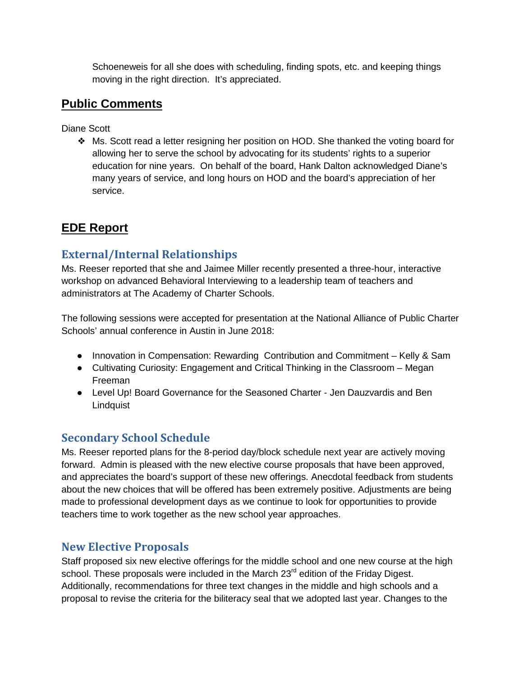Schoeneweis for all she does with scheduling, finding spots, etc. and keeping things moving in the right direction. It's appreciated.

## **Public Comments**

Diane Scott

❖ Ms. Scott read a letter resigning her position on HOD. She thanked the voting board for allowing her to serve the school by advocating for its students' rights to a superior education for nine years. On behalf of the board, Hank Dalton acknowledged Diane's many years of service, and long hours on HOD and the board's appreciation of her service.

# **EDE Report**

## **External/Internal Relationships**

Ms. Reeser reported that she and Jaimee Miller recently presented a three-hour, interactive workshop on advanced Behavioral Interviewing to a leadership team of teachers and administrators at The Academy of Charter Schools.

The following sessions were accepted for presentation at the National Alliance of Public Charter Schools' annual conference in Austin in June 2018:

- Innovation in Compensation: Rewarding Contribution and Commitment Kelly & Sam
- Cultivating Curiosity: Engagement and Critical Thinking in the Classroom Megan Freeman
- Level Up! Board Governance for the Seasoned Charter Jen Dauzvardis and Ben **Lindquist**

## **Secondary School Schedule**

Ms. Reeser reported plans for the 8-period day/block schedule next year are actively moving forward. Admin is pleased with the new elective course proposals that have been approved, and appreciates the board's support of these new offerings. Anecdotal feedback from students about the new choices that will be offered has been extremely positive. Adjustments are being made to professional development days as we continue to look for opportunities to provide teachers time to work together as the new school year approaches.

### **New Elective Proposals**

Staff proposed six new elective offerings for the middle school and one new course at the high school. These proposals were included in the March 23<sup>rd</sup> edition of the Friday Digest. Additionally, recommendations for three text changes in the middle and high schools and a proposal to revise the criteria for the biliteracy seal that we adopted last year. Changes to the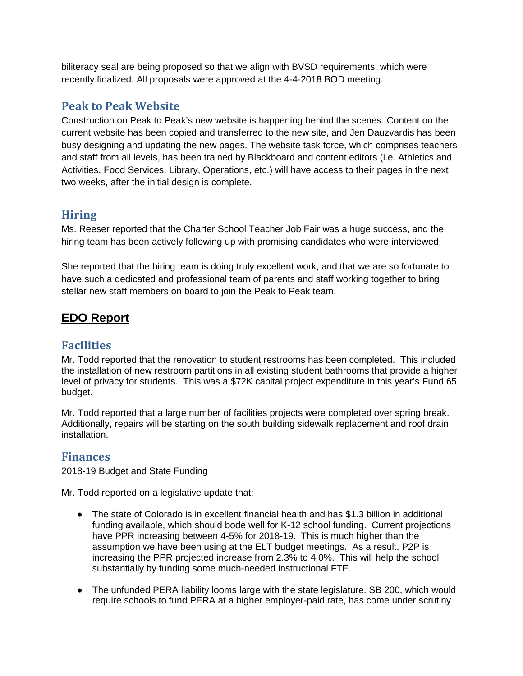biliteracy seal are being proposed so that we align with BVSD requirements, which were recently finalized. All proposals were approved at the 4-4-2018 BOD meeting.

### **Peak to Peak Website**

Construction on Peak to Peak's new website is happening behind the scenes. Content on the current website has been copied and transferred to the new site, and Jen Dauzvardis has been busy designing and updating the new pages. The website task force, which comprises teachers and staff from all levels, has been trained by Blackboard and content editors (i.e. Athletics and Activities, Food Services, Library, Operations, etc.) will have access to their pages in the next two weeks, after the initial design is complete.

## **Hiring**

Ms. Reeser reported that the Charter School Teacher Job Fair was a huge success, and the hiring team has been actively following up with promising candidates who were interviewed.

She reported that the hiring team is doing truly excellent work, and that we are so fortunate to have such a dedicated and professional team of parents and staff working together to bring stellar new staff members on board to join the Peak to Peak team.

# **EDO Report**

### **Facilities**

Mr. Todd reported that the renovation to student restrooms has been completed. This included the installation of new restroom partitions in all existing student bathrooms that provide a higher level of privacy for students. This was a \$72K capital project expenditure in this year's Fund 65 budget.

Mr. Todd reported that a large number of facilities projects were completed over spring break. Additionally, repairs will be starting on the south building sidewalk replacement and roof drain installation.

## **Finances**

2018-19 Budget and State Funding

Mr. Todd reported on a legislative update that:

- The state of Colorado is in excellent financial health and has \$1.3 billion in additional funding available, which should bode well for K-12 school funding. Current projections have PPR increasing between 4-5% for 2018-19. This is much higher than the assumption we have been using at the ELT budget meetings. As a result, P2P is increasing the PPR projected increase from 2.3% to 4.0%. This will help the school substantially by funding some much-needed instructional FTE.
- The unfunded PERA liability looms large with the state legislature. SB 200, which would require schools to fund PERA at a higher employer-paid rate, has come under scrutiny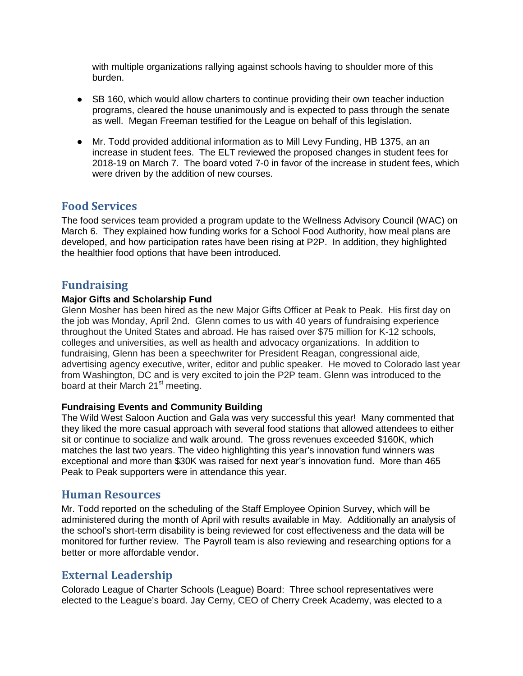with multiple organizations rallying against schools having to shoulder more of this burden.

- SB 160, which would allow charters to continue providing their own teacher induction programs, cleared the house unanimously and is expected to pass through the senate as well. Megan Freeman testified for the League on behalf of this legislation.
- Mr. Todd provided additional information as to Mill Levy Funding, HB 1375, an an increase in student fees. The ELT reviewed the proposed changes in student fees for 2018-19 on March 7. The board voted 7-0 in favor of the increase in student fees, which were driven by the addition of new courses.

#### **Food Services**

The food services team provided a program update to the Wellness Advisory Council (WAC) on March 6. They explained how funding works for a School Food Authority, how meal plans are developed, and how participation rates have been rising at P2P. In addition, they highlighted the healthier food options that have been introduced.

#### **Fundraising**

#### **Major Gifts and Scholarship Fund**

Glenn Mosher has been hired as the new Major Gifts Officer at Peak to Peak. His first day on the job was Monday, April 2nd. Glenn comes to us with 40 years of fundraising experience throughout the United States and abroad. He has raised over \$75 million for K-12 schools, colleges and universities, as well as health and advocacy organizations. In addition to fundraising, Glenn has been a speechwriter for President Reagan, congressional aide, advertising agency executive, writer, editor and public speaker. He moved to Colorado last year from Washington, DC and is very excited to join the P2P team. Glenn was introduced to the board at their March 21<sup>st</sup> meeting.

#### **Fundraising Events and Community Building**

The Wild West Saloon Auction and Gala was very successful this year! Many commented that they liked the more casual approach with several food stations that allowed attendees to either sit or continue to socialize and walk around. The gross revenues exceeded \$160K, which matches the last two years. The video highlighting this year's innovation fund winners was exceptional and more than \$30K was raised for next year's innovation fund. More than 465 Peak to Peak supporters were in attendance this year.

#### **Human Resources**

Mr. Todd reported on the scheduling of the Staff Employee Opinion Survey, which will be administered during the month of April with results available in May. Additionally an analysis of the school's short-term disability is being reviewed for cost effectiveness and the data will be monitored for further review. The Payroll team is also reviewing and researching options for a better or more affordable vendor.

#### **External Leadership**

Colorado League of Charter Schools (League) Board: Three school representatives were elected to the League's board. Jay Cerny, CEO of Cherry Creek Academy, was elected to a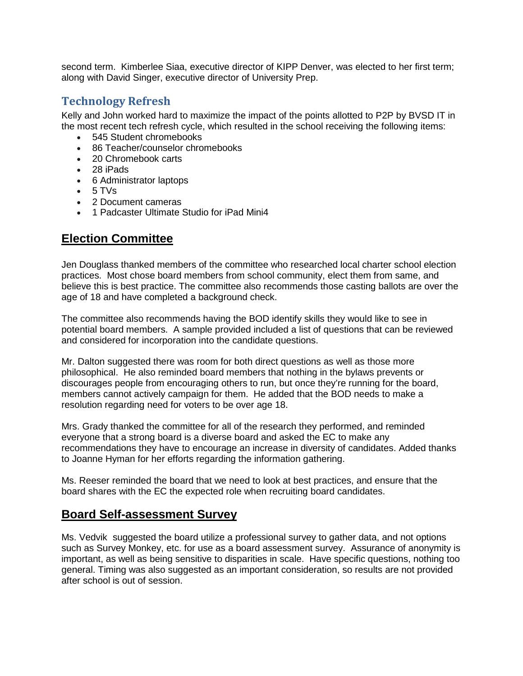second term. Kimberlee Siaa, executive director of KIPP Denver, was elected to her first term; along with David Singer, executive director of University Prep.

#### **Technology Refresh**

Kelly and John worked hard to maximize the impact of the points allotted to P2P by BVSD IT in the most recent tech refresh cycle, which resulted in the school receiving the following items:

- 545 Student chromebooks
- 86 Teacher/counselor chromebooks
- 20 Chromebook carts
- 28 iPads
- 6 Administrator laptops
- $5 TVs$
- 2 Document cameras
- 1 Padcaster Ultimate Studio for iPad Mini4

# **Election Committee**

Jen Douglass thanked members of the committee who researched local charter school election practices. Most chose board members from school community, elect them from same, and believe this is best practice. The committee also recommends those casting ballots are over the age of 18 and have completed a background check.

The committee also recommends having the BOD identify skills they would like to see in potential board members. A sample provided included a list of questions that can be reviewed and considered for incorporation into the candidate questions.

Mr. Dalton suggested there was room for both direct questions as well as those more philosophical. He also reminded board members that nothing in the bylaws prevents or discourages people from encouraging others to run, but once they're running for the board, members cannot actively campaign for them. He added that the BOD needs to make a resolution regarding need for voters to be over age 18.

Mrs. Grady thanked the committee for all of the research they performed, and reminded everyone that a strong board is a diverse board and asked the EC to make any recommendations they have to encourage an increase in diversity of candidates. Added thanks to Joanne Hyman for her efforts regarding the information gathering.

Ms. Reeser reminded the board that we need to look at best practices, and ensure that the board shares with the EC the expected role when recruiting board candidates.

### **Board Self-assessment Survey**

Ms. Vedvik suggested the board utilize a professional survey to gather data, and not options such as Survey Monkey, etc. for use as a board assessment survey. Assurance of anonymity is important, as well as being sensitive to disparities in scale. Have specific questions, nothing too general. Timing was also suggested as an important consideration, so results are not provided after school is out of session.